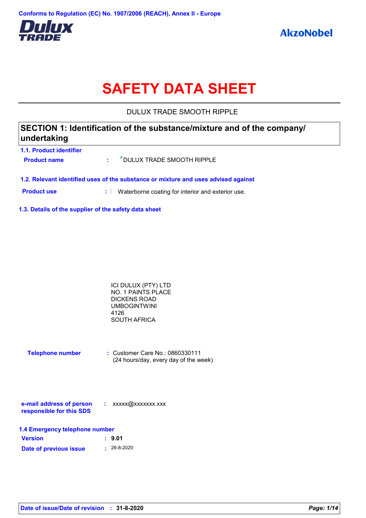

# **SAFETY DATA SHEET**

DULUX TRADE SMOOTH RIPPLE

### **1.1. Product identifier SECTION 1: Identification of the substance/mixture and of the company/ undertaking**

| 1.1. Product Identifier<br><b>Product name</b> | : "DULUX TRADE SMOOTH RIPPLE                                                       |
|------------------------------------------------|------------------------------------------------------------------------------------|
|                                                | 1.2. Relevant identified uses of the substance or mixture and uses advised against |

**Product use <b>:** Waterborne coating for interior and exterior use.

**1.3. Details of the supplier of the safety data sheet**

| ICI DULUX (PTY) LTD       |  |
|---------------------------|--|
| <b>NO. 1 PAINTS PLACE</b> |  |
| DICKENS ROAD              |  |
| UMBOGINTWINI              |  |
| 4126                      |  |
| SOUTH AFRICA              |  |
|                           |  |

| <b>Telephone number</b> | $\therefore$ Customer Care No.: 0860330111 |
|-------------------------|--------------------------------------------|
|                         | (24 hours/day, every day of the week)      |

| e-mail address of person | xxxxx@xxxxxxx.xxx |
|--------------------------|-------------------|
| responsible for this SDS |                   |

| 1.4 Emergency telephone number |                   |  |  |  |
|--------------------------------|-------------------|--|--|--|
| <b>Version</b>                 | : 9.01            |  |  |  |
| Date of previous issue         | $\cdot$ 26-8-2020 |  |  |  |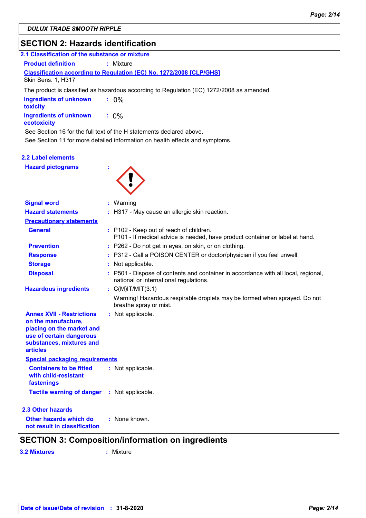## **SECTION 2: Hazards identification**

| 2.1 Classification of the substance or mixture |                                                                                           |
|------------------------------------------------|-------------------------------------------------------------------------------------------|
| <b>Product definition</b>                      | : Mixture                                                                                 |
| Skin Sens. 1, H317                             | <b>Classification according to Regulation (EC) No. 1272/2008 [CLP/GHS]</b>                |
|                                                | The product is classified as hazardous according to Regulation (EC) 1272/2008 as amended. |
| <b>Ingredients of unknown</b><br>toxicity      | $: 0\%$                                                                                   |
| <b>Ingredients of unknown</b><br>ecotoxicity   | $: 0\%$                                                                                   |
|                                                | See Section 16 for the full text of the H statements declared above.                      |
|                                                | See Section 11 for more detailed information on health effects and symptoms.              |
| 2.2 Label elements<br><b>Hazard pictograms</b> | ÷                                                                                         |

| <b>Signal word</b>                                                                                                                                              | : Warning                                                                                                                    |
|-----------------------------------------------------------------------------------------------------------------------------------------------------------------|------------------------------------------------------------------------------------------------------------------------------|
| <b>Hazard statements</b>                                                                                                                                        | : H317 - May cause an allergic skin reaction.                                                                                |
| <b>Precautionary statements</b>                                                                                                                                 |                                                                                                                              |
| <b>General</b>                                                                                                                                                  | : P102 - Keep out of reach of children.<br>P101 - If medical advice is needed, have product container or label at hand.      |
| <b>Prevention</b>                                                                                                                                               | : P262 - Do not get in eyes, on skin, or on clothing.                                                                        |
| <b>Response</b>                                                                                                                                                 | : P312 - Call a POISON CENTER or doctor/physician if you feel unwell.                                                        |
| <b>Storage</b>                                                                                                                                                  | : Not applicable.                                                                                                            |
| <b>Disposal</b>                                                                                                                                                 | : P501 - Dispose of contents and container in accordance with all local, regional,<br>national or international regulations. |
| <b>Hazardous ingredients</b>                                                                                                                                    | : $C(M)$ IT/MIT $(3:1)$                                                                                                      |
|                                                                                                                                                                 | Warning! Hazardous respirable droplets may be formed when sprayed. Do not<br>breathe spray or mist.                          |
| <b>Annex XVII - Restrictions</b><br>on the manufacture,<br>placing on the market and<br>use of certain dangerous<br>substances, mixtures and<br><b>articles</b> | : Not applicable.                                                                                                            |
| <b>Special packaging requirements</b>                                                                                                                           |                                                                                                                              |
| <b>Containers to be fitted</b><br>with child-resistant<br>fastenings                                                                                            | : Not applicable.                                                                                                            |
| <b>Tactile warning of danger : Not applicable.</b>                                                                                                              |                                                                                                                              |
| 2.3 Other hazards                                                                                                                                               |                                                                                                                              |
| Other hazards which do<br>not result in classification                                                                                                          | : None known.                                                                                                                |

**3.2 Mixtures :** Mixture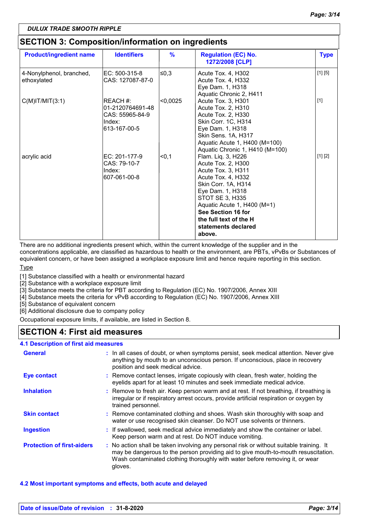### **SECTION 3: Composition/information on ingredients**

| <b>Product/ingredient name</b>          | <b>Identifiers</b>                                                        | $\frac{9}{6}$ | <b>Regulation (EC) No.</b><br>1272/2008 [CLP]                                                                                                                                                                                                                      | <b>Type</b> |
|-----------------------------------------|---------------------------------------------------------------------------|---------------|--------------------------------------------------------------------------------------------------------------------------------------------------------------------------------------------------------------------------------------------------------------------|-------------|
| 4-Nonylphenol, branched,<br>ethoxylated | EC: 500-315-8<br>CAS: 127087-87-0                                         | l≤0,3         | Acute Tox. 4, H302<br>Acute Tox. 4, H332<br>Eye Dam. 1, H318<br>Aquatic Chronic 2, H411                                                                                                                                                                            | [1] [5]     |
| $C(M)$ IT/MIT $(3:1)$                   | REACH #:<br>01-2120764691-48<br>CAS: 55965-84-9<br>Index:<br>613-167-00-5 | < 0,0025      | Acute Tox. 3, H301<br>Acute Tox. 2, H310<br>Acute Tox. 2, H330<br>Skin Corr. 1C, H314<br>Eye Dam. 1, H318<br>Skin Sens. 1A, H317<br>Aquatic Acute 1, H400 (M=100)<br>Aquatic Chronic 1, H410 (M=100)                                                               | $[1]$       |
| acrylic acid                            | EC: 201-177-9<br>CAS: 79-10-7<br>Index:<br>607-061-00-8                   | < 0, 1        | Flam. Liq. 3, H226<br>Acute Tox. 2, H300<br>Acute Tox. 3, H311<br>Acute Tox. 4, H332<br>Skin Corr. 1A, H314<br>Eye Dam. 1, H318<br>STOT SE 3, H335<br>Aquatic Acute 1, H400 (M=1)<br>See Section 16 for<br>the full text of the H<br>statements declared<br>above. | [1] [2]     |

There are no additional ingredients present which, within the current knowledge of the supplier and in the

concentrations applicable, are classified as hazardous to health or the environment, are PBTs, vPvBs or Substances of equivalent concern, or have been assigned a workplace exposure limit and hence require reporting in this section.

Type

[1] Substance classified with a health or environmental hazard

[2] Substance with a workplace exposure limit

[3] Substance meets the criteria for PBT according to Regulation (EC) No. 1907/2006, Annex XIII

[4] Substance meets the criteria for vPvB according to Regulation (EC) No. 1907/2006, Annex XIII

[5] Substance of equivalent concern

[6] Additional disclosure due to company policy

Occupational exposure limits, if available, are listed in Section 8.

### **SECTION 4: First aid measures**

#### **4.1 Description of first aid measures**

| <b>General</b>                    | : In all cases of doubt, or when symptoms persist, seek medical attention. Never give<br>anything by mouth to an unconscious person. If unconscious, place in recovery<br>position and seek medical advice.                                                              |
|-----------------------------------|--------------------------------------------------------------------------------------------------------------------------------------------------------------------------------------------------------------------------------------------------------------------------|
| <b>Eye contact</b>                | : Remove contact lenses, irrigate copiously with clean, fresh water, holding the<br>eyelids apart for at least 10 minutes and seek immediate medical advice.                                                                                                             |
| <b>Inhalation</b>                 | : Remove to fresh air. Keep person warm and at rest. If not breathing, if breathing is<br>irregular or if respiratory arrest occurs, provide artificial respiration or oxygen by<br>trained personnel.                                                                   |
| <b>Skin contact</b>               | : Remove contaminated clothing and shoes. Wash skin thoroughly with soap and<br>water or use recognised skin cleanser. Do NOT use solvents or thinners.                                                                                                                  |
| <b>Ingestion</b>                  | : If swallowed, seek medical advice immediately and show the container or label.<br>Keep person warm and at rest. Do NOT induce vomiting.                                                                                                                                |
| <b>Protection of first-aiders</b> | : No action shall be taken involving any personal risk or without suitable training. It<br>may be dangerous to the person providing aid to give mouth-to-mouth resuscitation.<br>Wash contaminated clothing thoroughly with water before removing it, or wear<br>gloves. |

#### **4.2 Most important symptoms and effects, both acute and delayed**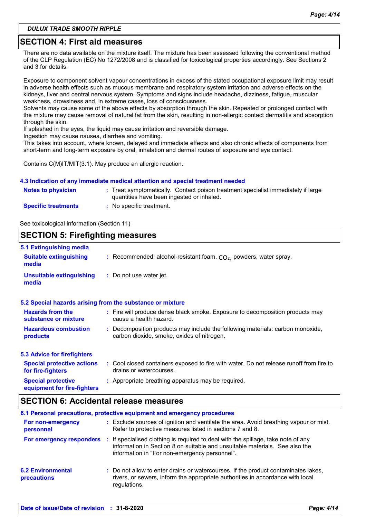### **SECTION 4: First aid measures**

There are no data available on the mixture itself. The mixture has been assessed following the conventional method of the CLP Regulation (EC) No 1272/2008 and is classified for toxicological properties accordingly. See Sections 2 and 3 for details.

Exposure to component solvent vapour concentrations in excess of the stated occupational exposure limit may result in adverse health effects such as mucous membrane and respiratory system irritation and adverse effects on the kidneys, liver and central nervous system. Symptoms and signs include headache, dizziness, fatigue, muscular weakness, drowsiness and, in extreme cases, loss of consciousness.

Solvents may cause some of the above effects by absorption through the skin. Repeated or prolonged contact with the mixture may cause removal of natural fat from the skin, resulting in non-allergic contact dermatitis and absorption through the skin.

If splashed in the eyes, the liquid may cause irritation and reversible damage.

Ingestion may cause nausea, diarrhea and vomiting.

This takes into account, where known, delayed and immediate effects and also chronic effects of components from short-term and long-term exposure by oral, inhalation and dermal routes of exposure and eye contact.

Contains C(M)IT/MIT(3:1). May produce an allergic reaction.

#### **4.3 Indication of any immediate medical attention and special treatment needed**

| <b>Notes to physician</b>  | : Treat symptomatically. Contact poison treatment specialist immediately if large<br>quantities have been ingested or inhaled. |
|----------------------------|--------------------------------------------------------------------------------------------------------------------------------|
| <b>Specific treatments</b> | No specific treatment.                                                                                                         |

See toxicological information (Section 11)

#### **SECTION 5: Firefighting measures** Recommended: alcohol-resistant foam, CO₂, powders, water spray. **: :** Do not use water jet. **Hazardous combustion products Hazards from the substance or mixture Special protective equipment for fire-fighters 5.1 Extinguishing media :** Fire will produce dense black smoke. Exposure to decomposition products may **:** Decomposition products may include the following materials: carbon monoxide, **:** Appropriate breathing apparatus may be required. **Suitable extinguishing media Unsuitable extinguishing media 5.2 Special hazards arising from the substance or mixture 5.3 Advice for firefighters Special protective actions for fire-fighters :** Cool closed containers exposed to fire with water. Do not release runoff from fire to cause a health hazard. drains or watercourses. carbon dioxide, smoke, oxides of nitrogen.

### **SECTION 6: Accidental release measures**

|                                                |    | 6.1 Personal precautions, protective equipment and emergency procedures                                                                                                                                         |
|------------------------------------------------|----|-----------------------------------------------------------------------------------------------------------------------------------------------------------------------------------------------------------------|
| For non-emergency<br>personnel                 |    | : Exclude sources of ignition and ventilate the area. Avoid breathing vapour or mist.<br>Refer to protective measures listed in sections 7 and 8.                                                               |
| For emergency responders                       | И. | If specialised clothing is required to deal with the spillage, take note of any<br>information in Section 8 on suitable and unsuitable materials. See also the<br>information in "For non-emergency personnel". |
| <b>6.2 Environmental</b><br><b>precautions</b> |    | : Do not allow to enter drains or watercourses. If the product contaminates lakes,<br>rivers, or sewers, inform the appropriate authorities in accordance with local<br>regulations.                            |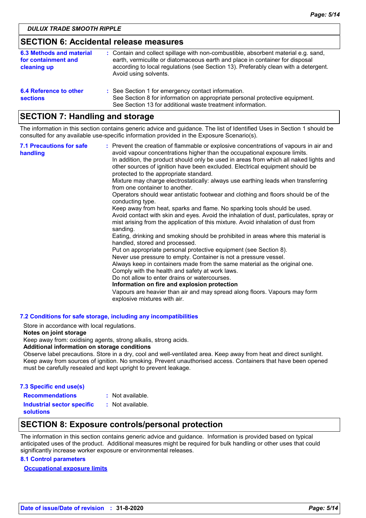### **SECTION 6: Accidental release measures**

| 6.3 Methods and material<br>for containment and<br>cleaning up | : Contain and collect spillage with non-combustible, absorbent material e.g. sand,<br>earth, vermiculite or diatomaceous earth and place in container for disposal<br>according to local regulations (see Section 13). Preferably clean with a detergent.<br>Avoid using solvents. |
|----------------------------------------------------------------|------------------------------------------------------------------------------------------------------------------------------------------------------------------------------------------------------------------------------------------------------------------------------------|
| 6.4 Reference to other<br><b>sections</b>                      | : See Section 1 for emergency contact information.<br>See Section 8 for information on appropriate personal protective equipment.<br>See Section 13 for additional waste treatment information.                                                                                    |

### **SECTION 7: Handling and storage**

The information in this section contains generic advice and guidance. The list of Identified Uses in Section 1 should be consulted for any available use-specific information provided in the Exposure Scenario(s).

| <b>7.1 Precautions for safe</b><br>handling | : Prevent the creation of flammable or explosive concentrations of vapours in air and<br>avoid vapour concentrations higher than the occupational exposure limits.<br>In addition, the product should only be used in areas from which all naked lights and<br>other sources of ignition have been excluded. Electrical equipment should be<br>protected to the appropriate standard.<br>Mixture may charge electrostatically: always use earthing leads when transferring<br>from one container to another.<br>Operators should wear antistatic footwear and clothing and floors should be of the<br>conducting type.<br>Keep away from heat, sparks and flame. No sparking tools should be used.<br>Avoid contact with skin and eyes. Avoid the inhalation of dust, particulates, spray or<br>mist arising from the application of this mixture. Avoid inhalation of dust from<br>sanding.<br>Eating, drinking and smoking should be prohibited in areas where this material is<br>handled, stored and processed.<br>Put on appropriate personal protective equipment (see Section 8).<br>Never use pressure to empty. Container is not a pressure vessel.<br>Always keep in containers made from the same material as the original one.<br>Comply with the health and safety at work laws.<br>Do not allow to enter drains or watercourses.<br>Information on fire and explosion protection<br>Vapours are heavier than air and may spread along floors. Vapours may form<br>explosive mixtures with air. |
|---------------------------------------------|--------------------------------------------------------------------------------------------------------------------------------------------------------------------------------------------------------------------------------------------------------------------------------------------------------------------------------------------------------------------------------------------------------------------------------------------------------------------------------------------------------------------------------------------------------------------------------------------------------------------------------------------------------------------------------------------------------------------------------------------------------------------------------------------------------------------------------------------------------------------------------------------------------------------------------------------------------------------------------------------------------------------------------------------------------------------------------------------------------------------------------------------------------------------------------------------------------------------------------------------------------------------------------------------------------------------------------------------------------------------------------------------------------------------------------------------------------------------------------------------------------------|
|---------------------------------------------|--------------------------------------------------------------------------------------------------------------------------------------------------------------------------------------------------------------------------------------------------------------------------------------------------------------------------------------------------------------------------------------------------------------------------------------------------------------------------------------------------------------------------------------------------------------------------------------------------------------------------------------------------------------------------------------------------------------------------------------------------------------------------------------------------------------------------------------------------------------------------------------------------------------------------------------------------------------------------------------------------------------------------------------------------------------------------------------------------------------------------------------------------------------------------------------------------------------------------------------------------------------------------------------------------------------------------------------------------------------------------------------------------------------------------------------------------------------------------------------------------------------|

#### **7.2 Conditions for safe storage, including any incompatibilities**

Store in accordance with local regulations.

#### **Notes on joint storage**

Keep away from: oxidising agents, strong alkalis, strong acids.

#### **Additional information on storage conditions**

Observe label precautions. Store in a dry, cool and well-ventilated area. Keep away from heat and direct sunlight. Keep away from sources of ignition. No smoking. Prevent unauthorised access. Containers that have been opened must be carefully resealed and kept upright to prevent leakage.

| 7.3 Specific end use(s)           |                  |
|-----------------------------------|------------------|
| <b>Recommendations</b>            | : Not available. |
| <b>Industrial sector specific</b> | : Not available. |

#### **solutions**

### **SECTION 8: Exposure controls/personal protection**

The information in this section contains generic advice and guidance. Information is provided based on typical anticipated uses of the product. Additional measures might be required for bulk handling or other uses that could significantly increase worker exposure or environmental releases.

#### **8.1 Control parameters**

**Occupational exposure limits**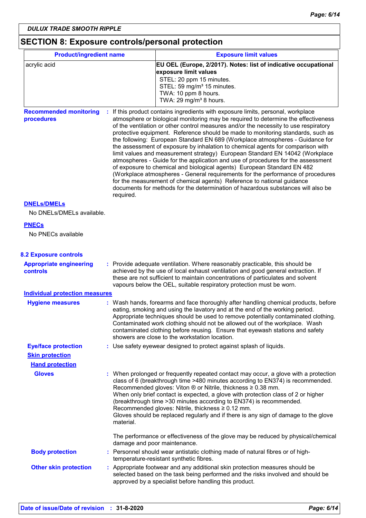### **SECTION 8: Exposure controls/personal protection**

| <b>Product/ingredient name</b>                    |                                                                                                                           | <b>Exposure limit values</b>                                                                                                                                                                                                                                                                                                                                                                                                                                                                                                                                                                                                                                                                                                                                                                                                                                                                                                                                                                                          |  |  |
|---------------------------------------------------|---------------------------------------------------------------------------------------------------------------------------|-----------------------------------------------------------------------------------------------------------------------------------------------------------------------------------------------------------------------------------------------------------------------------------------------------------------------------------------------------------------------------------------------------------------------------------------------------------------------------------------------------------------------------------------------------------------------------------------------------------------------------------------------------------------------------------------------------------------------------------------------------------------------------------------------------------------------------------------------------------------------------------------------------------------------------------------------------------------------------------------------------------------------|--|--|
| acrylic acid                                      |                                                                                                                           | EU OEL (Europe, 2/2017). Notes: list of indicative occupational                                                                                                                                                                                                                                                                                                                                                                                                                                                                                                                                                                                                                                                                                                                                                                                                                                                                                                                                                       |  |  |
|                                                   |                                                                                                                           | exposure limit values<br>STEL: 20 ppm 15 minutes.                                                                                                                                                                                                                                                                                                                                                                                                                                                                                                                                                                                                                                                                                                                                                                                                                                                                                                                                                                     |  |  |
|                                                   |                                                                                                                           | STEL: 59 mg/m <sup>3</sup> 15 minutes.                                                                                                                                                                                                                                                                                                                                                                                                                                                                                                                                                                                                                                                                                                                                                                                                                                                                                                                                                                                |  |  |
|                                                   |                                                                                                                           | TWA: 10 ppm 8 hours.                                                                                                                                                                                                                                                                                                                                                                                                                                                                                                                                                                                                                                                                                                                                                                                                                                                                                                                                                                                                  |  |  |
|                                                   |                                                                                                                           | TWA: 29 mg/m <sup>3</sup> 8 hours.                                                                                                                                                                                                                                                                                                                                                                                                                                                                                                                                                                                                                                                                                                                                                                                                                                                                                                                                                                                    |  |  |
| <b>Recommended monitoring</b><br>procedures       | required.                                                                                                                 | : If this product contains ingredients with exposure limits, personal, workplace<br>atmosphere or biological monitoring may be required to determine the effectiveness<br>of the ventilation or other control measures and/or the necessity to use respiratory<br>protective equipment. Reference should be made to monitoring standards, such as<br>the following: European Standard EN 689 (Workplace atmospheres - Guidance for<br>the assessment of exposure by inhalation to chemical agents for comparison with<br>limit values and measurement strategy) European Standard EN 14042 (Workplace<br>atmospheres - Guide for the application and use of procedures for the assessment<br>of exposure to chemical and biological agents) European Standard EN 482<br>(Workplace atmospheres - General requirements for the performance of procedures<br>for the measurement of chemical agents) Reference to national guidance<br>documents for methods for the determination of hazardous substances will also be |  |  |
| <b>DNELS/DMELS</b><br>No DNELs/DMELs available.   |                                                                                                                           |                                                                                                                                                                                                                                                                                                                                                                                                                                                                                                                                                                                                                                                                                                                                                                                                                                                                                                                                                                                                                       |  |  |
| <b>PNECs</b><br>No PNECs available                |                                                                                                                           |                                                                                                                                                                                                                                                                                                                                                                                                                                                                                                                                                                                                                                                                                                                                                                                                                                                                                                                                                                                                                       |  |  |
| <b>8.2 Exposure controls</b>                      |                                                                                                                           |                                                                                                                                                                                                                                                                                                                                                                                                                                                                                                                                                                                                                                                                                                                                                                                                                                                                                                                                                                                                                       |  |  |
| <b>Appropriate engineering</b><br><b>controls</b> |                                                                                                                           | : Provide adequate ventilation. Where reasonably practicable, this should be<br>achieved by the use of local exhaust ventilation and good general extraction. If<br>these are not sufficient to maintain concentrations of particulates and solvent<br>vapours below the OEL, suitable respiratory protection must be worn.                                                                                                                                                                                                                                                                                                                                                                                                                                                                                                                                                                                                                                                                                           |  |  |
| <b>Individual protection measures</b>             |                                                                                                                           |                                                                                                                                                                                                                                                                                                                                                                                                                                                                                                                                                                                                                                                                                                                                                                                                                                                                                                                                                                                                                       |  |  |
| <b>Hygiene measures</b>                           |                                                                                                                           | : Wash hands, forearms and face thoroughly after handling chemical products, before<br>eating, smoking and using the lavatory and at the end of the working period.<br>Appropriate techniques should be used to remove potentially contaminated clothing.<br>Contaminated work clothing should not be allowed out of the workplace. Wash<br>contaminated clothing before reusing. Ensure that eyewash stations and safety<br>showers are close to the workstation location.                                                                                                                                                                                                                                                                                                                                                                                                                                                                                                                                           |  |  |
| <b>Eye/face protection</b>                        |                                                                                                                           | : Use safety eyewear designed to protect against splash of liquids.                                                                                                                                                                                                                                                                                                                                                                                                                                                                                                                                                                                                                                                                                                                                                                                                                                                                                                                                                   |  |  |
| <b>Skin protection</b>                            |                                                                                                                           |                                                                                                                                                                                                                                                                                                                                                                                                                                                                                                                                                                                                                                                                                                                                                                                                                                                                                                                                                                                                                       |  |  |
| <b>Hand protection</b>                            |                                                                                                                           |                                                                                                                                                                                                                                                                                                                                                                                                                                                                                                                                                                                                                                                                                                                                                                                                                                                                                                                                                                                                                       |  |  |
| <b>Gloves</b>                                     | material.                                                                                                                 | : When prolonged or frequently repeated contact may occur, a glove with a protection<br>class of 6 (breakthrough time >480 minutes according to EN374) is recommended.<br>Recommended gloves: Viton $\otimes$ or Nitrile, thickness $\geq 0.38$ mm.<br>When only brief contact is expected, a glove with protection class of 2 or higher<br>(breakthrough time > 30 minutes according to EN374) is recommended.<br>Recommended gloves: Nitrile, thickness ≥ 0.12 mm.<br>Gloves should be replaced regularly and if there is any sign of damage to the glove                                                                                                                                                                                                                                                                                                                                                                                                                                                           |  |  |
|                                                   | damage and poor maintenance.                                                                                              | The performance or effectiveness of the glove may be reduced by physical/chemical                                                                                                                                                                                                                                                                                                                                                                                                                                                                                                                                                                                                                                                                                                                                                                                                                                                                                                                                     |  |  |
| <b>Body protection</b>                            | : Personnel should wear antistatic clothing made of natural fibres or of high-<br>temperature-resistant synthetic fibres. |                                                                                                                                                                                                                                                                                                                                                                                                                                                                                                                                                                                                                                                                                                                                                                                                                                                                                                                                                                                                                       |  |  |
| <b>Other skin protection</b>                      |                                                                                                                           | : Appropriate footwear and any additional skin protection measures should be<br>selected based on the task being performed and the risks involved and should be<br>approved by a specialist before handling this product.                                                                                                                                                                                                                                                                                                                                                                                                                                                                                                                                                                                                                                                                                                                                                                                             |  |  |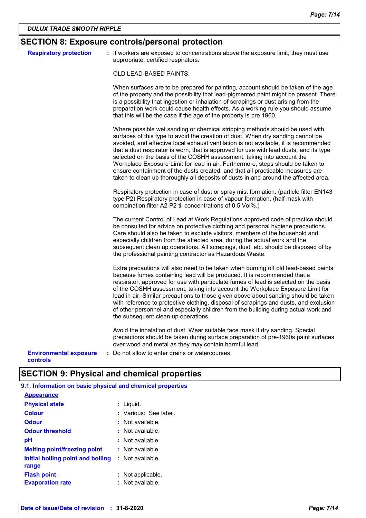| <b>Respiratory protection</b>             | : If workers are exposed to concentrations above the exposure limit, they must use<br>appropriate, certified respirators.                                                                                                                                                                                                                                                                                                                                                                                                                                                                                                                                                               |
|-------------------------------------------|-----------------------------------------------------------------------------------------------------------------------------------------------------------------------------------------------------------------------------------------------------------------------------------------------------------------------------------------------------------------------------------------------------------------------------------------------------------------------------------------------------------------------------------------------------------------------------------------------------------------------------------------------------------------------------------------|
|                                           | OLD LEAD-BASED PAINTS:                                                                                                                                                                                                                                                                                                                                                                                                                                                                                                                                                                                                                                                                  |
|                                           | When surfaces are to be prepared for painting, account should be taken of the age<br>of the property and the possibility that lead-pigmented paint might be present. There<br>is a possibility that ingestion or inhalation of scrapings or dust arising from the<br>preparation work could cause health effects. As a working rule you should assume<br>that this will be the case if the age of the property is pre 1960.                                                                                                                                                                                                                                                             |
|                                           | Where possible wet sanding or chemical stripping methods should be used with<br>surfaces of this type to avoid the creation of dust. When dry sanding cannot be<br>avoided, and effective local exhaust ventilation is not available, it is recommended<br>that a dust respirator is worn, that is approved for use with lead dusts, and its type<br>selected on the basis of the COSHH assessment, taking into account the<br>Workplace Exposure Limit for lead in air. Furthermore, steps should be taken to<br>ensure containment of the dusts created, and that all practicable measures are<br>taken to clean up thoroughly all deposits of dusts in and around the affected area. |
|                                           | Respiratory protection in case of dust or spray mist formation. (particle filter EN143<br>type P2) Respiratory protection in case of vapour formation. (half mask with<br>combination filter A2-P2 til concentrations of 0,5 Vol%.)                                                                                                                                                                                                                                                                                                                                                                                                                                                     |
|                                           | The current Control of Lead at Work Regulations approved code of practice should<br>be consulted for advice on protective clothing and personal hygiene precautions.<br>Care should also be taken to exclude visitors, members of the household and<br>especially children from the affected area, during the actual work and the<br>subsequent clean up operations. All scrapings, dust, etc. should be disposed of by<br>the professional painting contractor as Hazardous Waste.                                                                                                                                                                                                     |
|                                           | Extra precautions will also need to be taken when burning off old lead-based paints<br>because fumes containing lead will be produced. It is recommended that a<br>respirator, approved for use with particulate fumes of lead is selected on the basis<br>of the COSHH assessment, taking into account the Workplace Exposure Limit for<br>lead in air. Similar precautions to those given above about sanding should be taken<br>with reference to protective clothing, disposal of scrapings and dusts, and exclusion<br>of other personnel and especially children from the building during actual work and<br>the subsequent clean up operations.                                  |
|                                           | Avoid the inhalation of dust. Wear suitable face mask if dry sanding. Special<br>precautions should be taken during surface preparation of pre-1960s paint surfaces<br>over wood and metal as they may contain harmful lead.                                                                                                                                                                                                                                                                                                                                                                                                                                                            |
| <b>Environmental exposure</b><br>controls | : Do not allow to enter drains or watercourses.                                                                                                                                                                                                                                                                                                                                                                                                                                                                                                                                                                                                                                         |

### **SECTION 9: Physical and chemical properties**

| 9.1. Information on basic physical and chemical properties |                                   |
|------------------------------------------------------------|-----------------------------------|
| <b>Appearance</b>                                          |                                   |
| <b>Physical state</b>                                      | : Liguid.                         |
| <b>Colour</b>                                              | : Various: See label.             |
| <b>Odour</b>                                               | $:$ Not available.                |
| <b>Odour threshold</b>                                     | : Not available.                  |
| рH                                                         | $:$ Not available.                |
| <b>Melting point/freezing point</b>                        | $:$ Not available.                |
| Initial boiling point and boiling<br>range                 | $:$ Not available.                |
| <b>Flash point</b><br><b>Evaporation rate</b>              | Not applicable.<br>Not available. |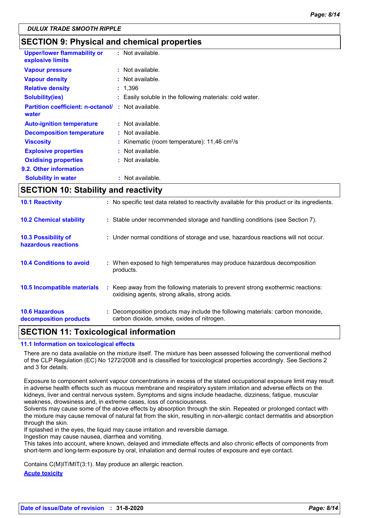### **SECTION 9: Physical and chemical properties**

| <b>Upper/lower flammability or</b><br>explosive limits | $:$ Not available.                                         |
|--------------------------------------------------------|------------------------------------------------------------|
| <b>Vapour pressure</b>                                 | $:$ Not available.                                         |
| <b>Vapour density</b>                                  | $:$ Not available.                                         |
| <b>Relative density</b>                                | : 1,396                                                    |
| <b>Solubility(ies)</b>                                 | : Easily soluble in the following materials: cold water.   |
| <b>Partition coefficient: n-octanol/</b><br>water      | : Not available.                                           |
| <b>Auto-ignition temperature</b>                       | : Not available.                                           |
| <b>Decomposition temperature</b>                       | $:$ Not available.                                         |
| <b>Viscosity</b>                                       | : Kinematic (room temperature): $11,46$ cm <sup>2</sup> /s |
| <b>Explosive properties</b>                            | : Not available.                                           |
| <b>Oxidising properties</b>                            | $:$ Not available.                                         |
| 9.2. Other information                                 |                                                            |
| <b>Solubility in water</b>                             | Not available.                                             |

### **SECTION 10: Stability and reactivity**

| <b>10.6 Hazardous</b><br>decomposition products | : Decomposition products may include the following materials: carbon monoxide,<br>carbon dioxide, smoke, oxides of nitrogen.        |
|-------------------------------------------------|-------------------------------------------------------------------------------------------------------------------------------------|
| <b>10.5 Incompatible materials</b>              | : Keep away from the following materials to prevent strong exothermic reactions:<br>oxidising agents, strong alkalis, strong acids. |
| <b>10.4 Conditions to avoid</b>                 | : When exposed to high temperatures may produce hazardous decomposition<br>products.                                                |
| 10.3 Possibility of<br>hazardous reactions      | : Under normal conditions of storage and use, hazardous reactions will not occur.                                                   |
| <b>10.2 Chemical stability</b>                  | : Stable under recommended storage and handling conditions (see Section 7).                                                         |
| <b>10.1 Reactivity</b>                          | : No specific test data related to reactivity available for this product or its ingredients.                                        |

### **SECTION 11: Toxicological information**

#### **11.1 Information on toxicological effects**

There are no data available on the mixture itself. The mixture has been assessed following the conventional method of the CLP Regulation (EC) No 1272/2008 and is classified for toxicological properties accordingly. See Sections 2 and 3 for details.

Exposure to component solvent vapour concentrations in excess of the stated occupational exposure limit may result in adverse health effects such as mucous membrane and respiratory system irritation and adverse effects on the kidneys, liver and central nervous system. Symptoms and signs include headache, dizziness, fatigue, muscular weakness, drowsiness and, in extreme cases, loss of consciousness.

Solvents may cause some of the above effects by absorption through the skin. Repeated or prolonged contact with the mixture may cause removal of natural fat from the skin, resulting in non-allergic contact dermatitis and absorption through the skin.

If splashed in the eyes, the liquid may cause irritation and reversible damage.

Ingestion may cause nausea, diarrhea and vomiting.

This takes into account, where known, delayed and immediate effects and also chronic effects of components from short-term and long-term exposure by oral, inhalation and dermal routes of exposure and eye contact.

Contains C(M)IT/MIT(3:1). May produce an allergic reaction.

**Acute toxicity**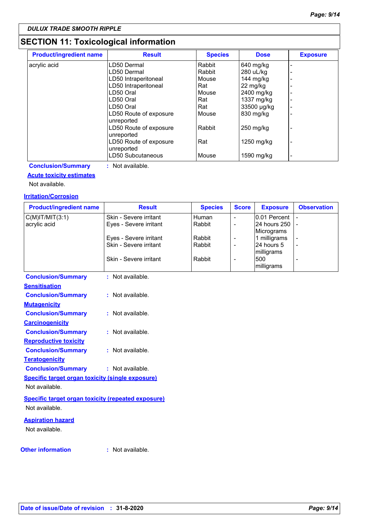### **SECTION 11: Toxicological information**

| <b>Product/ingredient name</b> | <b>Result</b>                        | <b>Species</b> | <b>Dose</b> | <b>Exposure</b> |
|--------------------------------|--------------------------------------|----------------|-------------|-----------------|
| acrylic acid                   | LD50 Dermal                          | Rabbit         | 640 mg/kg   |                 |
|                                | LD50 Dermal                          | Rabbit         | 280 uL/kg   |                 |
|                                | LD50 Intraperitoneal                 | Mouse          | 144 mg/kg   |                 |
|                                | LD50 Intraperitoneal                 | Rat            | 22 mg/kg    |                 |
|                                | LD50 Oral                            | Mouse          | 2400 mg/kg  |                 |
|                                | LD50 Oral                            | Rat            | 1337 mg/kg  | -               |
|                                | LD50 Oral                            | Rat            | 33500 µg/kg |                 |
|                                | LD50 Route of exposure<br>unreported | Mouse          | 830 mg/kg   |                 |
|                                | LD50 Route of exposure<br>unreported | Rabbit         | $250$ mg/kg |                 |
|                                | LD50 Route of exposure<br>unreported | Rat            | 1250 mg/kg  |                 |
|                                | LD50 Subcutaneous                    | Mouse          | 1590 mg/kg  |                 |

**Conclusion/Summary :** Not available.

#### **Acute toxicity estimates**

Not available.

#### **Irritation/Corrosion**

| <b>Product/ingredient name</b>                            | <b>Result</b>          | <b>Species</b> | <b>Score</b>             | <b>Exposure</b>          | <b>Observation</b>       |
|-----------------------------------------------------------|------------------------|----------------|--------------------------|--------------------------|--------------------------|
| $C(M)$ IT/MIT $(3:1)$                                     | Skin - Severe irritant | Human          | $\blacksquare$           | 0.01 Percent             |                          |
| acrylic acid                                              | Eyes - Severe irritant | Rabbit         | $\blacksquare$           | 24 hours 250             |                          |
|                                                           |                        |                |                          | Micrograms               |                          |
|                                                           | Eyes - Severe irritant | Rabbit         | $\overline{\phantom{a}}$ | 1 milligrams             |                          |
|                                                           | Skin - Severe irritant | Rabbit         | $\overline{\phantom{a}}$ | 24 hours 5<br>milligrams | $\overline{\phantom{a}}$ |
|                                                           | Skin - Severe irritant | Rabbit         | L,                       | 500                      |                          |
|                                                           |                        |                |                          | milligrams               |                          |
| <b>Conclusion/Summary</b>                                 | : Not available.       |                |                          |                          |                          |
| <b>Sensitisation</b>                                      |                        |                |                          |                          |                          |
| <b>Conclusion/Summary</b>                                 | : Not available.       |                |                          |                          |                          |
| <b>Mutagenicity</b>                                       |                        |                |                          |                          |                          |
| <b>Conclusion/Summary</b>                                 | : Not available.       |                |                          |                          |                          |
| <b>Carcinogenicity</b>                                    |                        |                |                          |                          |                          |
| <b>Conclusion/Summary</b>                                 | : Not available.       |                |                          |                          |                          |
| <b>Reproductive toxicity</b>                              |                        |                |                          |                          |                          |
| <b>Conclusion/Summary</b>                                 | : Not available.       |                |                          |                          |                          |
| <b>Teratogenicity</b>                                     |                        |                |                          |                          |                          |
| <b>Conclusion/Summary</b>                                 | : Not available.       |                |                          |                          |                          |
| <b>Specific target organ toxicity (single exposure)</b>   |                        |                |                          |                          |                          |
| Not available.                                            |                        |                |                          |                          |                          |
| <b>Specific target organ toxicity (repeated exposure)</b> |                        |                |                          |                          |                          |
| Not available.                                            |                        |                |                          |                          |                          |
|                                                           |                        |                |                          |                          |                          |
| <b>Aspiration hazard</b>                                  |                        |                |                          |                          |                          |
| Not available.                                            |                        |                |                          |                          |                          |
|                                                           |                        |                |                          |                          |                          |
| <b>Other information</b>                                  | : Not available.       |                |                          |                          |                          |
|                                                           |                        |                |                          |                          |                          |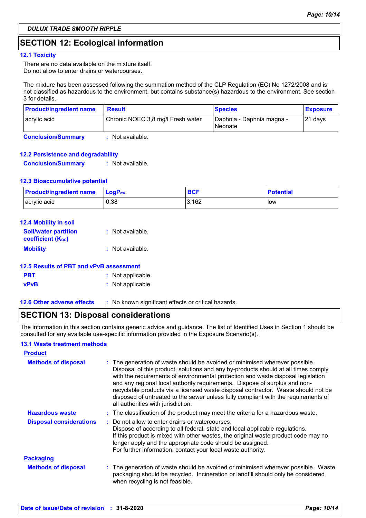### **SECTION 12: Ecological information**

#### **12.1 Toxicity**

There are no data available on the mixture itself. Do not allow to enter drains or watercourses.

The mixture has been assessed following the summation method of the CLP Regulation (EC) No 1272/2008 and is not classified as hazardous to the environment, but contains substance(s) hazardous to the environment. See section 3 for details.

| <b>Product/ingredient name</b> | <b>Result</b>                     | <b>Species</b>                       | <b>Exposure</b> |
|--------------------------------|-----------------------------------|--------------------------------------|-----------------|
| acrylic acid                   | Chronic NOEC 3,8 mg/l Fresh water | Daphnia - Daphnia magna -<br>Neonate | $ 21$ days      |
| <b>Conclusion/Summary</b>      | Not available.                    |                                      |                 |

#### **12.2 Persistence and degradability**

**Conclusion/Summary :** Not available.

#### **12.3 Bioaccumulative potential**

| <b>Product/ingredient name</b> | <b>⊥LoɑP</b> ‱ | <b>BCF</b> | <b>Potential</b> |
|--------------------------------|----------------|------------|------------------|
| acrylic acid                   | 0,38           | 3.162      | low              |

| <b>12.4 Mobility in soil</b>                            |                  |
|---------------------------------------------------------|------------------|
| <b>Soil/water partition</b><br><b>coefficient (Koc)</b> | : Not available. |
| <b>Mobility</b>                                         | : Not available. |

| 12.5 Results of PBT and vPvB assessment |                                                     |  |  |  |  |  |
|-----------------------------------------|-----------------------------------------------------|--|--|--|--|--|
| <b>PBT</b>                              | : Not applicable.                                   |  |  |  |  |  |
| <b>vPvB</b>                             | : Not applicable.                                   |  |  |  |  |  |
| <b>12.6 Other adverse effects</b>       | : No known significant effects or critical hazards. |  |  |  |  |  |

### **SECTION 13: Disposal considerations**

The information in this section contains generic advice and guidance. The list of Identified Uses in Section 1 should be consulted for any available use-specific information provided in the Exposure Scenario(s).

| <b>13.1 Waste treatment methods</b> |                                                                                                                                                                                                                                                                                                                                                                                                                                                                                                                                                      |  |
|-------------------------------------|------------------------------------------------------------------------------------------------------------------------------------------------------------------------------------------------------------------------------------------------------------------------------------------------------------------------------------------------------------------------------------------------------------------------------------------------------------------------------------------------------------------------------------------------------|--|
| <b>Product</b>                      |                                                                                                                                                                                                                                                                                                                                                                                                                                                                                                                                                      |  |
| <b>Methods of disposal</b>          | : The generation of waste should be avoided or minimised wherever possible.<br>Disposal of this product, solutions and any by-products should at all times comply<br>with the requirements of environmental protection and waste disposal legislation<br>and any regional local authority requirements. Dispose of surplus and non-<br>recyclable products via a licensed waste disposal contractor. Waste should not be<br>disposed of untreated to the sewer unless fully compliant with the requirements of<br>all authorities with jurisdiction. |  |
| <b>Hazardous waste</b>              | : The classification of the product may meet the criteria for a hazardous waste.                                                                                                                                                                                                                                                                                                                                                                                                                                                                     |  |
| <b>Disposal considerations</b>      | : Do not allow to enter drains or watercourses.<br>Dispose of according to all federal, state and local applicable regulations.<br>If this product is mixed with other wastes, the original waste product code may no<br>longer apply and the appropriate code should be assigned.<br>For further information, contact your local waste authority.                                                                                                                                                                                                   |  |
| <b>Packaging</b>                    |                                                                                                                                                                                                                                                                                                                                                                                                                                                                                                                                                      |  |
| <b>Methods of disposal</b>          | : The generation of waste should be avoided or minimised wherever possible. Waste<br>packaging should be recycled. Incineration or landfill should only be considered<br>when recycling is not feasible.                                                                                                                                                                                                                                                                                                                                             |  |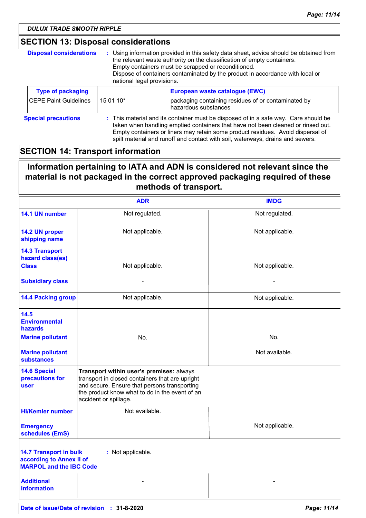### **SECTION 13: Disposal considerations**

| <b>Disposal considerations</b><br>: Using information provided in this safety data sheet, advice should be obtained from<br>the relevant waste authority on the classification of empty containers.<br>Empty containers must be scrapped or reconditioned.<br>Dispose of containers contaminated by the product in accordance with local or<br>national legal provisions. |                                                                                          |                                                                                                                                                                                                                                                                                                                                              |  |  |  |
|---------------------------------------------------------------------------------------------------------------------------------------------------------------------------------------------------------------------------------------------------------------------------------------------------------------------------------------------------------------------------|------------------------------------------------------------------------------------------|----------------------------------------------------------------------------------------------------------------------------------------------------------------------------------------------------------------------------------------------------------------------------------------------------------------------------------------------|--|--|--|
| <b>Type of packaging</b>                                                                                                                                                                                                                                                                                                                                                  |                                                                                          | European waste catalogue (EWC)                                                                                                                                                                                                                                                                                                               |  |  |  |
| <b>CEPE Paint Guidelines</b>                                                                                                                                                                                                                                                                                                                                              | packaging containing residues of or contaminated by<br>15 01 10*<br>hazardous substances |                                                                                                                                                                                                                                                                                                                                              |  |  |  |
| <b>Special precautions</b>                                                                                                                                                                                                                                                                                                                                                |                                                                                          | : This material and its container must be disposed of in a safe way. Care should be<br>taken when handling emptied containers that have not been cleaned or rinsed out.<br>Empty containers or liners may retain some product residues. Avoid dispersal of<br>spilt material and runoff and contact with soil, waterways, drains and sewers. |  |  |  |

### **SECTION 14: Transport information**

### **Information pertaining to IATA and ADN is considered not relevant since the material is not packaged in the correct approved packaging required of these methods of transport.**

|                                                                                             | <b>ADR</b>                                                                                                                                                                                                             | <b>IMDG</b>              |
|---------------------------------------------------------------------------------------------|------------------------------------------------------------------------------------------------------------------------------------------------------------------------------------------------------------------------|--------------------------|
| 14.1 UN number                                                                              | Not regulated.                                                                                                                                                                                                         | Not regulated.           |
| 14.2 UN proper<br>shipping name                                                             | Not applicable.                                                                                                                                                                                                        | Not applicable.          |
| <b>14.3 Transport</b><br>hazard class(es)<br><b>Class</b>                                   | Not applicable.                                                                                                                                                                                                        | Not applicable.          |
| <b>Subsidiary class</b>                                                                     |                                                                                                                                                                                                                        | $\overline{\phantom{0}}$ |
| <b>14.4 Packing group</b>                                                                   | Not applicable.                                                                                                                                                                                                        | Not applicable.          |
| 14.5<br><b>Environmental</b><br>hazards                                                     |                                                                                                                                                                                                                        |                          |
| <b>Marine pollutant</b>                                                                     | No.                                                                                                                                                                                                                    | No.                      |
| <b>Marine pollutant</b><br><b>substances</b>                                                |                                                                                                                                                                                                                        | Not available.           |
| <b>14.6 Special</b><br>precautions for<br>user                                              | Transport within user's premises: always<br>transport in closed containers that are upright<br>and secure. Ensure that persons transporting<br>the product know what to do in the event of an<br>accident or spillage. |                          |
| <b>HI/Kemler number</b>                                                                     | Not available.                                                                                                                                                                                                         |                          |
| <b>Emergency</b><br>schedules (EmS)                                                         |                                                                                                                                                                                                                        | Not applicable.          |
| <b>14.7 Transport in bulk</b><br>according to Annex II of<br><b>MARPOL and the IBC Code</b> | : Not applicable.                                                                                                                                                                                                      |                          |
| <b>Additional</b><br><b>information</b>                                                     |                                                                                                                                                                                                                        |                          |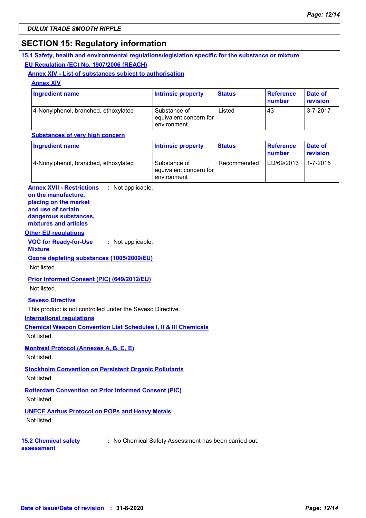### **SECTION 15: Regulatory information**

#### **15.1 Safety, health and environmental regulations/legislation specific for the substance or mixture EU Regulation (EC) No. 1907/2006 (REACH)**

#### **Annex XIV - List of substances subject to authorisation**

**Annex XIV**

| Ingredient name                      | <b>Intrinsic property</b>                             | <b>Status</b> | Reference<br>number | <b>Date of</b><br>revision |
|--------------------------------------|-------------------------------------------------------|---------------|---------------------|----------------------------|
| 4-Nonylphenol, branched, ethoxylated | Substance of<br>equivalent concern for<br>environment | Listed        | 43                  | $3 - 7 - 2017$             |

#### **Substances of very high concern**

| Ingredient name                      | <b>Intrinsic property</b>                             | <b>Status</b> | Reference<br>number | Date of<br><b>revision</b> |
|--------------------------------------|-------------------------------------------------------|---------------|---------------------|----------------------------|
| 4-Nonylphenol, branched, ethoxylated | Substance of<br>equivalent concern for<br>environment | Recommended   | ED/69/2013          | $1 - 7 - 2015$             |

#### **Annex XVII - Restrictions : Not applicable. on the manufacture,**

#### **placing on the market and use of certain**

**dangerous substances,**

#### **mixtures and articles**

#### **Other EU regulations**

**VOC for Ready-for-Use :** Not applicable.

### **Mixture**

**Ozone depleting substances (1005/2009/EU)**

#### Not listed.

### **Prior Informed Consent (PIC) (649/2012/EU)**

Not listed.

#### **Seveso Directive**

This product is not controlled under the Seveso Directive.

#### **International regulations**

**Chemical Weapon Convention List Schedules I, II & III Chemicals**

Not listed.

#### **Montreal Protocol (Annexes A, B, C, E)**

Not listed.

### **Stockholm Convention on Persistent Organic Pollutants**

Not listed.

### **Rotterdam Convention on Prior Informed Consent (PIC)**

Not listed.

### **UNECE Aarhus Protocol on POPs and Heavy Metals**

Not listed.

#### **15.2 Chemical safety**

**:** No Chemical Safety Assessment has been carried out.

**assessment**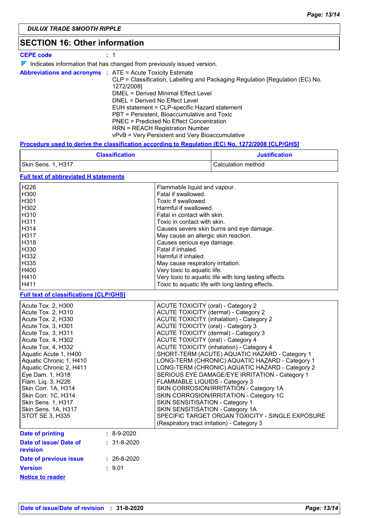### **SECTION 16: Other information**

|            |  | <b>CEPE code</b> |  |  | -11 |  |  |
|------------|--|------------------|--|--|-----|--|--|
| — <i>п</i> |  |                  |  |  |     |  |  |

 $\nabla$  Indicates information that has changed from previously issued version.

|  | <b>Abbreviations and acronyms : ATE = Acute Toxicity Estimate</b>             |
|--|-------------------------------------------------------------------------------|
|  | CLP = Classification, Labelling and Packaging Regulation [Regulation (EC) No. |
|  | 1272/2008]                                                                    |
|  | DMEL = Derived Minimal Effect Level                                           |
|  | DNEL = Derived No Effect Level                                                |
|  | EUH statement = CLP-specific Hazard statement                                 |
|  | PBT = Persistent, Bioaccumulative and Toxic                                   |
|  | PNEC = Predicted No Effect Concentration                                      |
|  | <b>RRN = REACH Registration Number</b>                                        |
|  | vPvB = Very Persistent and Very Bioaccumulative                               |

#### **Procedure used to derive the classification according to Regulation (EC) No. 1272/2008 [CLP/GHS]**

|                                                                                                                                                                                                                                                                                                                                                                                                      | <b>Classification</b>             | <b>Justification</b>                                                                                                                                                                                                                                                                                                                                    |                                                                                                                                                                                                                                                                                                                                                                                                                                                                                                                                                                                                     |
|------------------------------------------------------------------------------------------------------------------------------------------------------------------------------------------------------------------------------------------------------------------------------------------------------------------------------------------------------------------------------------------------------|-----------------------------------|---------------------------------------------------------------------------------------------------------------------------------------------------------------------------------------------------------------------------------------------------------------------------------------------------------------------------------------------------------|-----------------------------------------------------------------------------------------------------------------------------------------------------------------------------------------------------------------------------------------------------------------------------------------------------------------------------------------------------------------------------------------------------------------------------------------------------------------------------------------------------------------------------------------------------------------------------------------------------|
| Skin Sens. 1, H317                                                                                                                                                                                                                                                                                                                                                                                   |                                   |                                                                                                                                                                                                                                                                                                                                                         | Calculation method                                                                                                                                                                                                                                                                                                                                                                                                                                                                                                                                                                                  |
| <b>Full text of abbreviated H statements</b>                                                                                                                                                                                                                                                                                                                                                         |                                   |                                                                                                                                                                                                                                                                                                                                                         |                                                                                                                                                                                                                                                                                                                                                                                                                                                                                                                                                                                                     |
| H226<br>H300<br>H301<br>H302<br>H310<br>H311<br>H314<br>H317<br>H318<br>H330<br>H332<br>H335<br>H400<br>H410<br>H411                                                                                                                                                                                                                                                                                 |                                   | Flammable liquid and vapour.<br>Fatal if swallowed.<br>Toxic if swallowed.<br>Harmful if swallowed.<br>Fatal in contact with skin.<br>Toxic in contact with skin.<br>May cause an allergic skin reaction.<br>Causes serious eye damage.<br>Fatal if inhaled.<br>Harmful if inhaled.<br>May cause respiratory irritation.<br>Very toxic to aquatic life. | Causes severe skin burns and eye damage.<br>Very toxic to aquatic life with long lasting effects.<br>Toxic to aquatic life with long lasting effects.                                                                                                                                                                                                                                                                                                                                                                                                                                               |
| <b>Full text of classifications [CLP/GHS]</b>                                                                                                                                                                                                                                                                                                                                                        |                                   |                                                                                                                                                                                                                                                                                                                                                         |                                                                                                                                                                                                                                                                                                                                                                                                                                                                                                                                                                                                     |
| Acute Tox. 2, H300<br>Acute Tox. 2, H310<br>Acute Tox. 2, H330<br>Acute Tox. 3, H301<br>Acute Tox. 3, H311<br>Acute Tox. 4, H302<br>Acute Tox. 4, H332<br>Aquatic Acute 1, H400<br>Aquatic Chronic 1, H410<br>Aquatic Chronic 2, H411<br>Eye Dam. 1, H318<br>Flam. Liq. 3, H226<br>Skin Corr. 1A, H314<br>Skin Corr. 1C, H314<br>Skin Sens. 1, H317<br>Skin Sens. 1A, H317<br><b>STOT SE 3, H335</b> |                                   | <b>ACUTE TOXICITY (oral) - Category 2</b><br><b>ACUTE TOXICITY (oral) - Category 3</b><br><b>ACUTE TOXICITY (oral) - Category 4</b><br>FLAMMABLE LIQUIDS - Category 3<br>SKIN SENSITISATION - Category 1<br>SKIN SENSITISATION - Category 1A                                                                                                            | <b>ACUTE TOXICITY (dermal) - Category 2</b><br><b>ACUTE TOXICITY (inhalation) - Category 2</b><br><b>ACUTE TOXICITY (dermal) - Category 3</b><br><b>ACUTE TOXICITY (inhalation) - Category 4</b><br>SHORT-TERM (ACUTE) AQUATIC HAZARD - Category 1<br>LONG-TERM (CHRONIC) AQUATIC HAZARD - Category 1<br>LONG-TERM (CHRONIC) AQUATIC HAZARD - Category 2<br>SERIOUS EYE DAMAGE/EYE IRRITATION - Category 1<br>SKIN CORROSION/IRRITATION - Category 1A<br>SKIN CORROSION/IRRITATION - Category 1C<br>SPECIFIC TARGET ORGAN TOXICITY - SINGLE EXPOSURE<br>(Respiratory tract irritation) - Category 3 |
| <b>Date of printing</b><br>Date of issue/ Date of<br>revision                                                                                                                                                                                                                                                                                                                                        | $: 8-9-2020$<br>$: 31 - 8 - 2020$ |                                                                                                                                                                                                                                                                                                                                                         |                                                                                                                                                                                                                                                                                                                                                                                                                                                                                                                                                                                                     |
| <b>Date of previous issue</b><br><b>Version</b>                                                                                                                                                                                                                                                                                                                                                      | $: 26-8-2020$<br>: 9.01           |                                                                                                                                                                                                                                                                                                                                                         |                                                                                                                                                                                                                                                                                                                                                                                                                                                                                                                                                                                                     |

**Notice to reader**